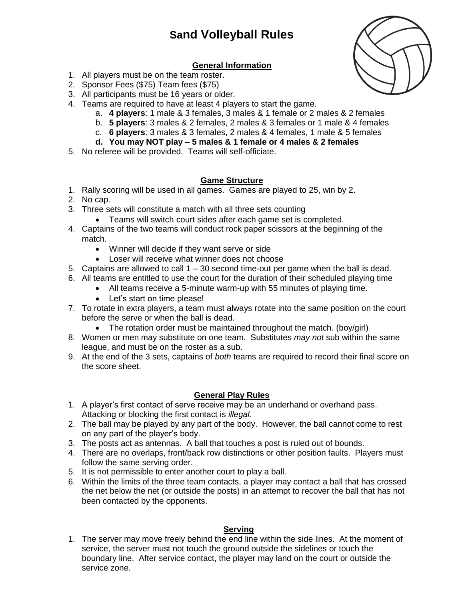# **Sand Volleyball Rules**

## **General Information**

- 1. All players must be on the team roster.
- 2. Sponsor Fees (\$75) Team fees (\$75)
- 3. All participants must be 16 years or older.
- 4. Teams are required to have at least 4 players to start the game.
	- a. **4 players**: 1 male & 3 females, 3 males & 1 female or 2 males & 2 females
	- b. **5 players**: 3 males & 2 females, 2 males & 3 females or 1 male & 4 females
	- c. **6 players**: 3 males & 3 females, 2 males & 4 females, 1 male & 5 females
	- **d. You may NOT play – 5 males & 1 female or 4 males & 2 females**
- 5. No referee will be provided. Teams will self-officiate.

#### **Game Structure**

- 1. Rally scoring will be used in all games. Games are played to 25, win by 2.
- 2. No cap.
- 3. Three sets will constitute a match with all three sets counting
	- Teams will switch court sides after each game set is completed.
- 4. Captains of the two teams will conduct rock paper scissors at the beginning of the match.
	- Winner will decide if they want serve or side
	- Loser will receive what winner does not choose
- 5. Captains are allowed to call  $1 30$  second time-out per game when the ball is dead.
- 6. All teams are entitled to use the court for the duration of their scheduled playing time
	- All teams receive a 5-minute warm-up with 55 minutes of playing time.
	- Let's start on time please!
- 7. To rotate in extra players, a team must always rotate into the same position on the court before the serve or when the ball is dead.
	- The rotation order must be maintained throughout the match. (boy/girl)
- 8. Women or men may substitute on one team. Substitutes *may not* sub within the same league, and must be on the roster as a sub.
- 9. At the end of the 3 sets, captains of *both* teams are required to record their final score on the score sheet.

## **General Play Rules**

- 1. A player's first contact of serve receive may be an underhand or overhand pass. Attacking or blocking the first contact is *illegal.*
- 2. The ball may be played by any part of the body. However, the ball cannot come to rest on any part of the player's body.
- 3. The posts act as antennas. A ball that touches a post is ruled out of bounds.
- 4. There are no overlaps, front/back row distinctions or other position faults. Players must follow the same serving order.
- 5. It is not permissible to enter another court to play a ball.
- 6. Within the limits of the three team contacts, a player may contact a ball that has crossed the net below the net (or outside the posts) in an attempt to recover the ball that has not been contacted by the opponents.

## **Serving**

1. The server may move freely behind the end line within the side lines. At the moment of service, the server must not touch the ground outside the sidelines or touch the boundary line. After service contact, the player may land on the court or outside the service zone.